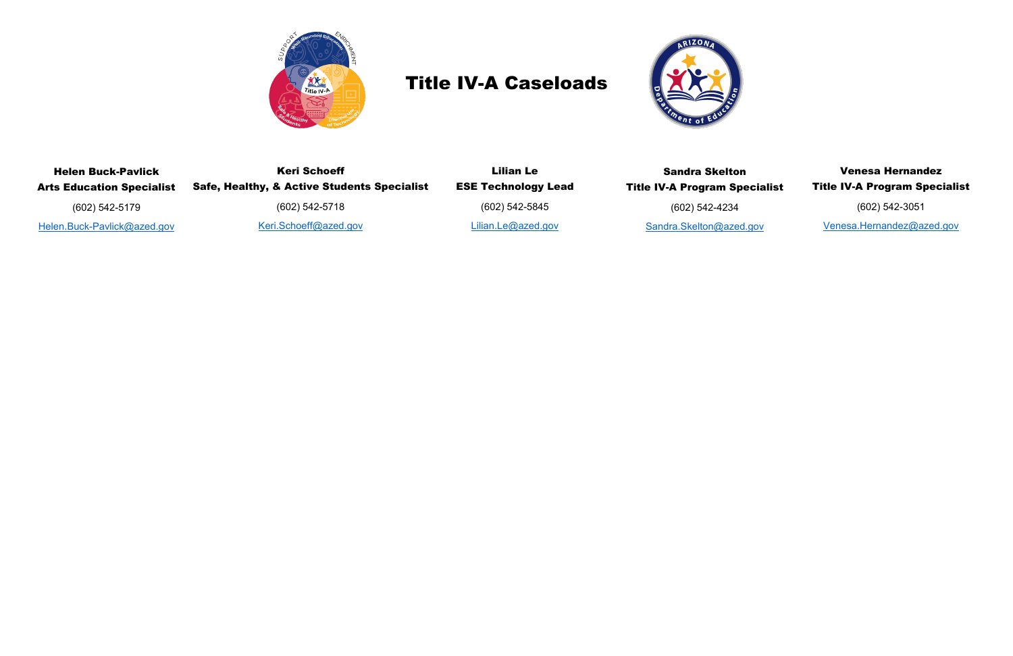

# Title IV-A Caseloads



<span id="page-0-0"></span>Helen Buck-Pavlick [Arts Education Specialist](#page-1-0)

(602) 542-5179

Helen.Buck-Pavlick@azed.gov

Lilian Le [ESE Technology Lead](#page-3-0) (602) 542-5845 Lilian.Le@azed.gov

Keri Schoeff S[afe, Healthy, & Active Students Speciali](#page-2-0)st

(602) 542-5718

Keri.Schoeff@azed.gov

# Sandra Skelton [Title IV-A Program Specialist](#page-4-0)

(602) 542-4234

Sandra.Skelton@azed.gov

# Venesa Hernandez [Title IV-A Program Specialist](#page-6-0)

(602) 542-3051

Venesa.Hernandez@azed.gov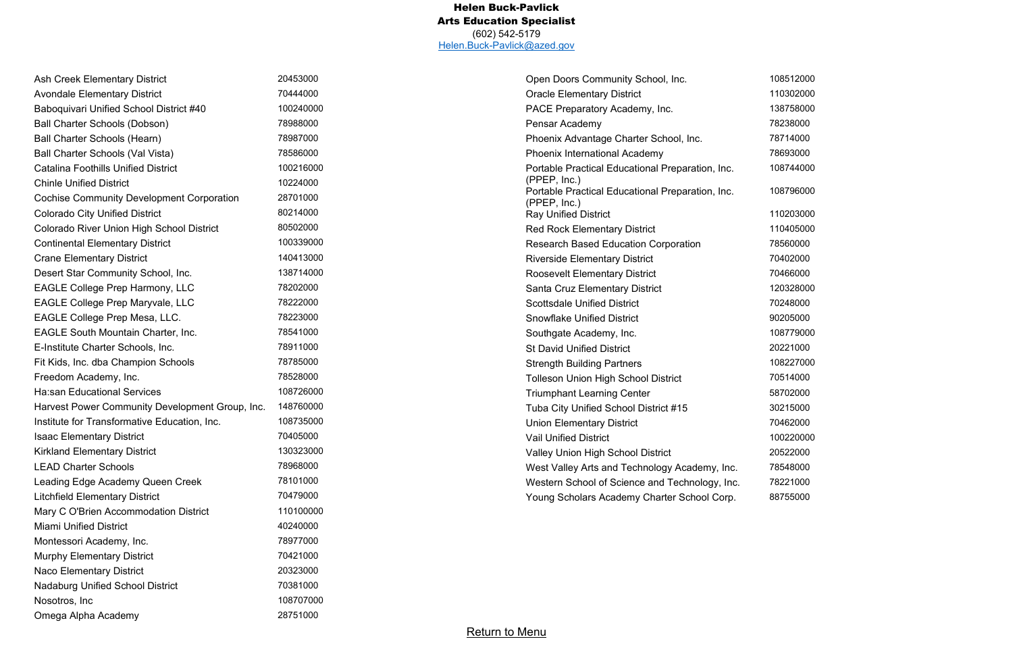### Helen Buck-Pavlick Arts Education Specialist

(602) 542-5179 [Helen.Buck-Pavlick@azed.gov](#page-0-0) 

<span id="page-1-0"></span>

| <b>Ash Creek Elementary District</b>             | 20453000  |
|--------------------------------------------------|-----------|
| <b>Avondale Elementary District</b>              | 70444000  |
| Baboquivari Unified School District #40          | 100240000 |
| <b>Ball Charter Schools (Dobson)</b>             | 78988000  |
| <b>Ball Charter Schools (Hearn)</b>              | 78987000  |
| <b>Ball Charter Schools (Val Vista)</b>          | 78586000  |
| <b>Catalina Foothills Unified District</b>       | 100216000 |
| <b>Chinle Unified District</b>                   | 10224000  |
| <b>Cochise Community Development Corporation</b> | 28701000  |
| <b>Colorado City Unified District</b>            | 80214000  |
| <b>Colorado River Union High School District</b> | 80502000  |
| <b>Continental Elementary District</b>           | 100339000 |
| <b>Crane Elementary District</b>                 | 140413000 |
| Desert Star Community School, Inc.               | 138714000 |
| <b>EAGLE College Prep Harmony, LLC</b>           | 78202000  |
| <b>EAGLE College Prep Maryvale, LLC</b>          | 78222000  |
| EAGLE College Prep Mesa, LLC.                    | 78223000  |
| <b>EAGLE South Mountain Charter, Inc.</b>        | 78541000  |
| E-Institute Charter Schools, Inc.                | 78911000  |
| Fit Kids, Inc. dba Champion Schools              | 78785000  |
| Freedom Academy, Inc.                            | 78528000  |
| <b>Ha:san Educational Services</b>               | 108726000 |
| Harvest Power Community Development Group, Inc.  | 148760000 |
| Institute for Transformative Education, Inc.     | 108735000 |
| <b>Isaac Elementary District</b>                 | 70405000  |
| <b>Kirkland Elementary District</b>              | 130323000 |
| <b>LEAD Charter Schools</b>                      | 78968000  |
| Leading Edge Academy Queen Creek                 | 78101000  |
| <b>Litchfield Elementary District</b>            | 70479000  |
| Mary C O'Brien Accommodation District            | 110100000 |
| <b>Miami Unified District</b>                    | 40240000  |
| Montessori Academy, Inc.                         | 78977000  |
| <b>Murphy Elementary District</b>                | 70421000  |
| <b>Naco Elementary District</b>                  | 20323000  |
| <b>Nadaburg Unified School District</b>          | 70381000  |
| Nosotros, Inc                                    | 108707000 |
| Omega Alpha Academy                              | 28751000  |

| <b>Oracle Elementary District</b>                                                                                                                                   |
|---------------------------------------------------------------------------------------------------------------------------------------------------------------------|
| PACE Preparatory Academy, Inc.                                                                                                                                      |
| Pensar Academy                                                                                                                                                      |
| Phoenix Advantage Charter School, Inc.                                                                                                                              |
| <b>Phoenix International Academy</b>                                                                                                                                |
| Portable Practical Educational Preparation, Inc.<br>(PPEP, Inc.)<br>Portable Practical Educational Preparation, Inc.<br>(PPEP, Inc.)<br><b>Ray Unified District</b> |
| <b>Red Rock Elementary District</b>                                                                                                                                 |
| <b>Research Based Education Corporation</b>                                                                                                                         |
| <b>Riverside Elementary District</b>                                                                                                                                |
| <b>Roosevelt Elementary District</b>                                                                                                                                |
| <b>Santa Cruz Elementary District</b>                                                                                                                               |
| <b>Scottsdale Unified District</b>                                                                                                                                  |
| <b>Snowflake Unified District</b>                                                                                                                                   |
| Southgate Academy, Inc.                                                                                                                                             |
| <b>St David Unified District</b>                                                                                                                                    |
| <b>Strength Building Partners</b>                                                                                                                                   |
| <b>Tolleson Union High School District</b>                                                                                                                          |
| <b>Triumphant Learning Center</b>                                                                                                                                   |
| Tuba City Unified School District #15                                                                                                                               |
| <b>Union Elementary District</b>                                                                                                                                    |
| <b>Vail Unified District</b>                                                                                                                                        |
| <b>Valley Union High School District</b>                                                                                                                            |
| West Valley Arts and Technology Academy, Inc.                                                                                                                       |
| Western School of Science and Technology, Inc.                                                                                                                      |
| Young Scholars Academy Charter School Corp.                                                                                                                         |
|                                                                                                                                                                     |

[Return to Menu](#page-0-0)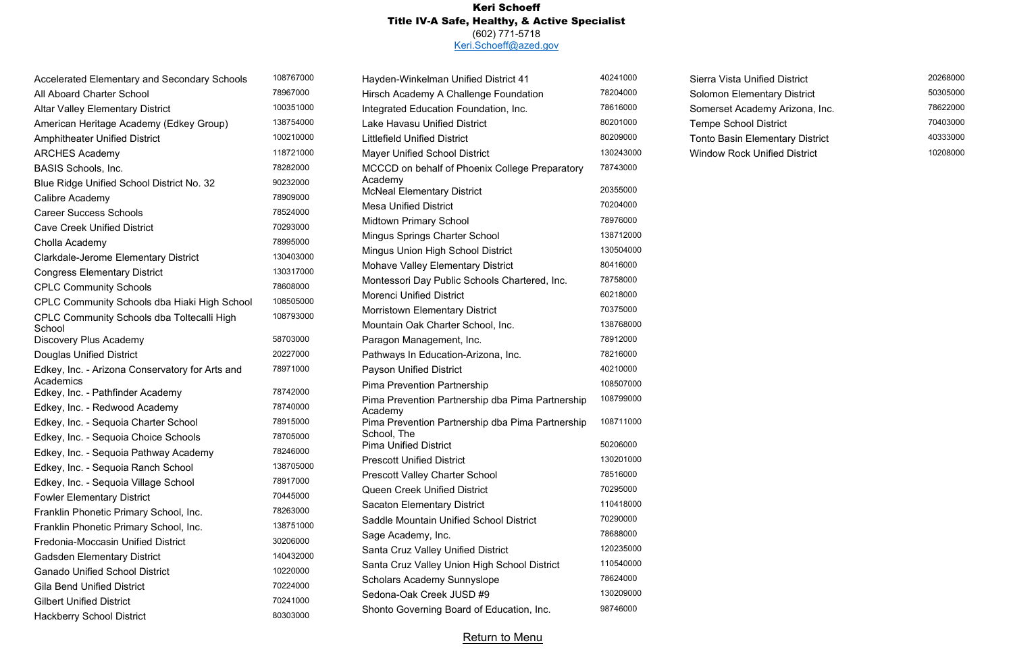# Keri Schoeff Title IV -A Safe, Healthy, & Active Specialist

(602) 771 -5718

Keri.Schoeff@azed.gov

<span id="page-2-0"></span>

| <b>Accelerated Elementary and Secondary Schools</b>          | 108767000 | Hayden-Winkelman Unified District 41                                  | 40241000  |
|--------------------------------------------------------------|-----------|-----------------------------------------------------------------------|-----------|
| <b>All Aboard Charter School</b>                             | 78967000  | Hirsch Academy A Challenge Foundation                                 | 78204000  |
| <b>Altar Valley Elementary District</b>                      | 100351000 | Integrated Education Foundation, Inc.                                 | 78616000  |
| American Heritage Academy (Edkey Group)                      | 138754000 | <b>Lake Havasu Unified District</b>                                   | 80201000  |
| <b>Amphitheater Unified District</b>                         | 100210000 | <b>Littlefield Unified District</b>                                   | 80209000  |
| <b>ARCHES Academy</b>                                        | 118721000 | <b>Mayer Unified School District</b>                                  | 130243000 |
| <b>BASIS Schools, Inc.</b>                                   | 78282000  | MCCCD on behalf of Phoenix College Preparatory                        | 78743000  |
| <b>Blue Ridge Unified School District No. 32</b>             | 90232000  | Academy                                                               |           |
| Calibre Academy                                              | 78909000  | <b>McNeal Elementary District</b>                                     | 20355000  |
| <b>Career Success Schools</b>                                | 78524000  | <b>Mesa Unified District</b>                                          | 70204000  |
| <b>Cave Creek Unified District</b>                           | 70293000  | <b>Midtown Primary School</b>                                         | 78976000  |
| Cholla Academy                                               | 78995000  | <b>Mingus Springs Charter School</b>                                  | 138712000 |
| <b>Clarkdale-Jerome Elementary District</b>                  | 130403000 | Mingus Union High School District                                     | 130504000 |
| <b>Congress Elementary District</b>                          | 130317000 | <b>Mohave Valley Elementary District</b>                              | 80416000  |
| <b>CPLC Community Schools</b>                                | 78608000  | Montessori Day Public Schools Chartered, Inc.                         | 78758000  |
| <b>CPLC Community Schools dba Hiaki High School</b>          | 108505000 | <b>Morenci Unified District</b>                                       | 60218000  |
| <b>CPLC Community Schools dba Toltecalli High</b>            | 108793000 | <b>Morristown Elementary District</b>                                 | 70375000  |
| School                                                       |           | Mountain Oak Charter School, Inc.                                     | 138768000 |
| <b>Discovery Plus Academy</b>                                | 58703000  | Paragon Management, Inc.                                              | 78912000  |
| <b>Douglas Unified District</b>                              | 20227000  | Pathways In Education-Arizona, Inc.                                   | 78216000  |
| Edkey, Inc. - Arizona Conservatory for Arts and<br>Academics | 78971000  | <b>Payson Unified District</b>                                        | 40210000  |
| Edkey, Inc. - Pathfinder Academy                             | 78742000  | <b>Pima Prevention Partnership</b>                                    | 108507000 |
| Edkey, Inc. - Redwood Academy                                | 78740000  | Pima Prevention Partnership dba Pima Partnership<br>Academy           | 108799000 |
| Edkey, Inc. - Sequoia Charter School                         | 78915000  | Pima Prevention Partnership dba Pima Partnership                      | 108711000 |
| Edkey, Inc. - Sequoia Choice Schools                         | 78705000  | School, The                                                           |           |
| Edkey, Inc. - Sequoia Pathway Academy                        | 78246000  | <b>Pima Unified District</b>                                          | 50206000  |
| Edkey, Inc. - Sequoia Ranch School                           | 138705000 | <b>Prescott Unified District</b>                                      | 130201000 |
| Edkey, Inc. - Sequoia Village School                         | 78917000  | <b>Prescott Valley Charter School</b>                                 | 78516000  |
| <b>Fowler Elementary District</b>                            | 70445000  | <b>Queen Creek Unified District</b>                                   | 70295000  |
| Franklin Phonetic Primary School, Inc.                       | 78263000  | <b>Sacaton Elementary District</b>                                    | 110418000 |
| Franklin Phonetic Primary School, Inc.                       | 138751000 | <b>Saddle Mountain Unified School District</b>                        | 70290000  |
| Fredonia-Moccasin Unified District                           | 30206000  | Sage Academy, Inc.                                                    | 78688000  |
| <b>Gadsden Elementary District</b>                           | 140432000 | Santa Cruz Valley Unified District                                    | 120235000 |
| <b>Ganado Unified School District</b>                        | 10220000  | Santa Cruz Valley Union High School District                          | 110540000 |
| <b>Gila Bend Unified District</b>                            | 70224000  | <b>Scholars Academy Sunnyslope</b>                                    | 78624000  |
| <b>Gilbert Unified District</b>                              |           |                                                                       | 130209000 |
|                                                              | 70241000  | Sedona-Oak Creek JUSD #9<br>Shonto Governing Board of Education, Inc. | 98746000  |

# [Return to Menu](#page-0-0)

Sierra Vista Unified District 20268000 Solomon Elementary District **60305000** 50305000 Somerset Academy Arizona, Inc. 78622000 Tempe School District 70403000 Tonto Basin Elementary District **ACCO** 40333000 Window Rock Unified District 10208000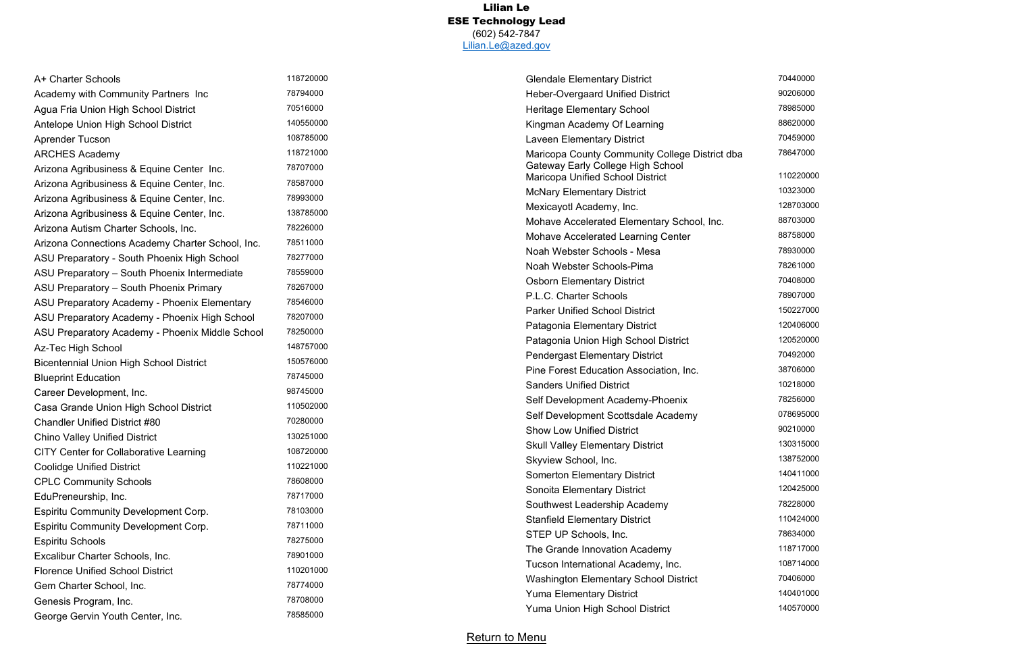#### Lilian Le ESE Technology Lead (602) 542 -7847 Lilian.Le@azed.gov

<span id="page-3-0"></span>

| A+ Charter Schools                                  | 118720000 |
|-----------------------------------------------------|-----------|
| Academy with Community Partners Inc                 | 78794000  |
| Agua Fria Union High School District                | 70516000  |
| Antelope Union High School District                 | 140550000 |
| <b>Aprender Tucson</b>                              | 108785000 |
| <b>ARCHES Academy</b>                               | 118721000 |
| Arizona Agribusiness & Equine Center Inc.           | 78707000  |
| Arizona Agribusiness & Equine Center, Inc.          | 78587000  |
| Arizona Agribusiness & Equine Center, Inc.          | 78993000  |
| Arizona Agribusiness & Equine Center, Inc.          | 138785000 |
| Arizona Autism Charter Schools, Inc.                | 78226000  |
| Arizona Connections Academy Charter School, Inc.    | 78511000  |
| <b>ASU Preparatory - South Phoenix High School</b>  | 78277000  |
| ASU Preparatory - South Phoenix Intermediate        | 78559000  |
| ASU Preparatory - South Phoenix Primary             | 78267000  |
| <b>ASU Preparatory Academy - Phoenix Elementary</b> | 78546000  |
| ASU Preparatory Academy - Phoenix High School       | 78207000  |
| ASU Preparatory Academy - Phoenix Middle School     | 78250000  |
| Az-Tec High School                                  | 148757000 |
| <b>Bicentennial Union High School District</b>      | 150576000 |
| <b>Blueprint Education</b>                          | 78745000  |
| Career Development, Inc.                            | 98745000  |
| Casa Grande Union High School District              | 110502000 |
| <b>Chandler Unified District #80</b>                | 70280000  |
| <b>Chino Valley Unified District</b>                | 130251000 |
| <b>CITY Center for Collaborative Learning</b>       | 108720000 |
| <b>Coolidge Unified District</b>                    | 110221000 |
| <b>CPLC Community Schools</b>                       | 78608000  |
| EduPreneurship, Inc.                                | 78717000  |
| <b>Espiritu Community Development Corp.</b>         | 78103000  |
| <b>Espiritu Community Development Corp.</b>         | 78711000  |
| <b>Espiritu Schools</b>                             | 78275000  |
| Excalibur Charter Schools, Inc.                     | 78901000  |
| <b>Florence Unified School District</b>             | 110201000 |
| Gem Charter School, Inc.                            | 78774000  |
| Genesis Program, Inc.                               | 78708000  |
| George Gervin Youth Center, Inc.                    | 78585000  |

| <b>Glendale Elementary District</b>                                                        | 70440000  |
|--------------------------------------------------------------------------------------------|-----------|
| <b>Heber-Overgaard Unified District</b>                                                    | 90206000  |
| <b>Heritage Elementary School</b>                                                          | 78985000  |
| Kingman Academy Of Learning                                                                | 88620000  |
| <b>Laveen Elementary District</b>                                                          | 70459000  |
| Maricopa County Community College District dba<br><b>Gateway Early College High School</b> | 78647000  |
| <b>Maricopa Unified School District</b>                                                    | 11022000  |
| <b>McNary Elementary District</b>                                                          | 10323000  |
| Mexicayotl Academy, Inc.                                                                   | 12870300  |
| Mohave Accelerated Elementary School, Inc.                                                 | 88703000  |
| <b>Mohave Accelerated Learning Center</b>                                                  | 88758000  |
| Noah Webster Schools - Mesa                                                                | 78930000  |
| Noah Webster Schools-Pima                                                                  | 78261000  |
| <b>Osborn Elementary District</b>                                                          | 70408000  |
| P.L.C. Charter Schools                                                                     | 78907000  |
| <b>Parker Unified School District</b>                                                      | 150227000 |
| Patagonia Elementary District                                                              | 12040600  |
| Patagonia Union High School District                                                       | 12052000  |
| <b>Pendergast Elementary District</b>                                                      | 70492000  |
| Pine Forest Education Association, Inc.                                                    | 38706000  |
| <b>Sanders Unified District</b>                                                            | 10218000  |
| Self Development Academy-Phoenix                                                           | 78256000  |
| Self Development Scottsdale Academy                                                        | 07869500  |
| <b>Show Low Unified District</b>                                                           | 90210000  |
| <b>Skull Valley Elementary District</b>                                                    | 13031500  |
| Skyview School, Inc.                                                                       | 138752000 |
| <b>Somerton Elementary District</b>                                                        | 140411000 |
| <b>Sonoita Elementary District</b>                                                         | 120425000 |
| Southwest Leadership Academy                                                               | 78228000  |
| <b>Stanfield Elementary District</b>                                                       | 110424000 |
| STEP UP Schools, Inc.                                                                      | 78634000  |
| The Grande Innovation Academy                                                              | 118717000 |
| Tucson International Academy, Inc.                                                         | 108714000 |
| <b>Washington Elementary School District</b>                                               | 70406000  |
| <b>Yuma Elementary District</b>                                                            | 140401000 |
| <b>Yuma Union High School District</b>                                                     | 14057000  |
|                                                                                            |           |

[Return to Menu](#page-0-0)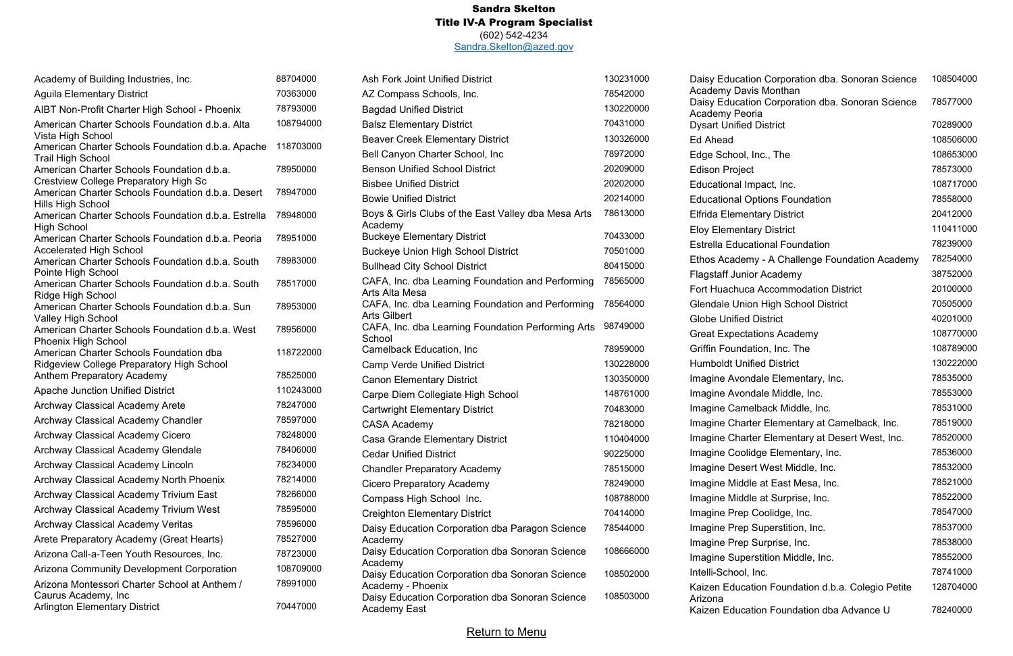# Sandra Skelton Title IV-A Program Specialist

(602) 542-4234 Sandra.Skelton@azed.gov

<span id="page-4-0"></span>

| Academy of Building Industries, Inc.                                                                     | 88704000  | Ash Fork Jo                                |
|----------------------------------------------------------------------------------------------------------|-----------|--------------------------------------------|
| <b>Aguila Elementary District</b>                                                                        | 70363000  | <b>AZ Compas</b>                           |
| AIBT Non-Profit Charter High School - Phoenix                                                            | 78793000  | <b>Bagdad Uni</b>                          |
| American Charter Schools Foundation d.b.a. Alta                                                          | 108794000 | <b>Balsz Eleme</b>                         |
| Vista High School<br>American Charter Schools Foundation d.b.a. Apache<br><b>Trail High School</b>       | 118703000 | <b>Beaver Cree</b><br><b>Bell Canyor</b>   |
| American Charter Schools Foundation d.b.a.                                                               | 78950000  | <b>Benson Uni</b>                          |
| <b>Crestview College Preparatory High Sc</b><br>American Charter Schools Foundation d.b.a. Desert        | 78947000  | <b>Bisbee Unifi</b><br><b>Bowie Unifie</b> |
| <b>Hills High School</b><br>American Charter Schools Foundation d.b.a. Estrella<br><b>High School</b>    | 78948000  | Boys & Girls<br>Academy                    |
| American Charter Schools Foundation d.b.a. Peoria                                                        | 78951000  | <b>Buckeye Ele</b>                         |
| <b>Accelerated High School</b><br>American Charter Schools Foundation d.b.a. South<br>Pointe High School | 78983000  | <b>Buckeye Ur</b><br><b>Bullhead Cit</b>   |
| American Charter Schools Foundation d.b.a. South<br><b>Ridge High School</b>                             | 78517000  | CAFA, Inc.<br>Arts Alta Me                 |
| American Charter Schools Foundation d.b.a. Sun<br><b>Valley High School</b>                              | 78953000  | CAFA, Inc.<br><b>Arts Gilbert</b>          |
| American Charter Schools Foundation d.b.a. West<br>Phoenix High School                                   | 78956000  | CAFA, Inc.<br>School                       |
| American Charter Schools Foundation dba                                                                  | 118722000 | Camelback                                  |
| <b>Ridgeview College Preparatory High School</b>                                                         | 78525000  | Camp Verd                                  |
| <b>Anthem Preparatory Academy</b>                                                                        |           | <b>Canon Elem</b>                          |
| <b>Apache Junction Unified District</b>                                                                  | 110243000 | <b>Carpe Diem</b>                          |
| Archway Classical Academy Arete                                                                          | 78247000  | Cartwright E                               |
| Archway Classical Academy Chandler                                                                       | 78597000  | <b>CASA Acad</b>                           |
| <b>Archway Classical Academy Cicero</b>                                                                  | 78248000  | Casa Grand                                 |
| <b>Archway Classical Academy Glendale</b>                                                                | 78406000  | <b>Cedar Unifie</b>                        |
| <b>Archway Classical Academy Lincoln</b>                                                                 | 78234000  | <b>Chandler Pr</b>                         |
| Archway Classical Academy North Phoenix                                                                  | 78214000  | <b>Cicero Prep</b>                         |
| Archway Classical Academy Trivium East                                                                   | 78266000  | <b>Compass H</b>                           |
| <b>Archway Classical Academy Trivium West</b>                                                            | 78595000  | Creighton E                                |
| <b>Archway Classical Academy Veritas</b>                                                                 | 78596000  | Daisy Educa                                |
| Arete Preparatory Academy (Great Hearts)                                                                 | 78527000  | Academy                                    |
| Arizona Call-a-Teen Youth Resources, Inc.                                                                | 78723000  | Daisy Educa                                |
| Arizona Community Development Corporation                                                                | 108709000 | Academy<br>Daisy Educa                     |
| Arizona Montessori Charter School at Anthem /<br>Caurus Academy, Inc                                     | 78991000  | Academy - I<br>Daisy Educa                 |
| <b>Arlington Elementary District</b>                                                                     | 70447000  | Academy E                                  |

| <b>Ash Fork Joint Unified District</b>                                   | 130231000                                                                                                                                                                                                               |
|--------------------------------------------------------------------------|-------------------------------------------------------------------------------------------------------------------------------------------------------------------------------------------------------------------------|
| AZ Compass Schools, Inc.                                                 | 78542000                                                                                                                                                                                                                |
| <b>Bagdad Unified District</b>                                           | 130220000                                                                                                                                                                                                               |
| <b>Balsz Elementary District</b>                                         | 70431000                                                                                                                                                                                                                |
| <b>Beaver Creek Elementary District</b>                                  | 130326000                                                                                                                                                                                                               |
| Bell Canyon Charter School, Inc                                          | 78972000                                                                                                                                                                                                                |
| <b>Benson Unified School District</b>                                    | 20209000                                                                                                                                                                                                                |
| <b>Bisbee Unified District</b>                                           | 20202000                                                                                                                                                                                                                |
| <b>Bowie Unified District</b>                                            | 20214000                                                                                                                                                                                                                |
| Boys & Girls Clubs of the East Valley dba Mesa Arts<br>Academy           | 78613000                                                                                                                                                                                                                |
|                                                                          | 70433000                                                                                                                                                                                                                |
|                                                                          | 70501000                                                                                                                                                                                                                |
|                                                                          | 80415000                                                                                                                                                                                                                |
| Arts Alta Mesa                                                           | 78565000                                                                                                                                                                                                                |
| CAFA, Inc. dba Learning Foundation and Performing<br><b>Arts Gilbert</b> | 78564000                                                                                                                                                                                                                |
| CAFA, Inc. dba Learning Foundation Performing Arts<br>School             | 98749000                                                                                                                                                                                                                |
| <b>Camelback Education, Inc.</b>                                         | 78959000                                                                                                                                                                                                                |
| <b>Camp Verde Unified District</b>                                       | 130228000                                                                                                                                                                                                               |
| <b>Canon Elementary District</b>                                         | 130350000                                                                                                                                                                                                               |
| Carpe Diem Collegiate High School                                        | 148761000                                                                                                                                                                                                               |
| <b>Cartwright Elementary District</b>                                    | 70483000                                                                                                                                                                                                                |
| <b>CASA Academy</b>                                                      | 78218000                                                                                                                                                                                                                |
| <b>Casa Grande Elementary District</b>                                   | 110404000                                                                                                                                                                                                               |
| <b>Cedar Unified District</b>                                            | 90225000                                                                                                                                                                                                                |
| <b>Chandler Preparatory Academy</b>                                      | 78515000                                                                                                                                                                                                                |
| Cicero Preparatory Academy                                               | 78249000                                                                                                                                                                                                                |
| Compass High School Inc.                                                 | 108788000                                                                                                                                                                                                               |
| <b>Creighton Elementary District</b>                                     | 70414000                                                                                                                                                                                                                |
| Daisy Education Corporation dba Paragon Science                          | 78544000                                                                                                                                                                                                                |
| Daisy Education Corporation dba Sonoran Science                          | 108666000                                                                                                                                                                                                               |
| Daisy Education Corporation dba Sonoran Science                          | 108502000                                                                                                                                                                                                               |
| Daisy Education Corporation dba Sonoran Science<br><b>Academy East</b>   | 108503000                                                                                                                                                                                                               |
|                                                                          | <b>Buckeye Elementary District</b><br><b>Buckeye Union High School District</b><br><b>Bullhead City School District</b><br>CAFA, Inc. dba Learning Foundation and Performing<br>Academy<br>Academy<br>Academy - Phoenix |

Daisy Educat Academy Da Daisy Educat Academy Peo Dysart Unified Ed Ahead Edge School, Edison Proje **Educational Educational** Elfrida Eleme **Eloy Element Estrella Education** Ethos Acader Flagstaff Juni Fort Huachud Glendale Uni **Globe Unified Great Expect Griffin Found** Humboldt Un **Imagine Avon Imagine Avon** Imagine Cam **Imagine Chart Imagine Chart Imagine Cool Imagine Dese Imagine Midd Imagine Midd** Imagine Prep **Imagine Prep** Imagine Prep **Imagine Super** Intelli-School Kaizen Educa Arizona Kaizen Educa

**[Return to Menu](#page-0-0)** 

| tion Corporation dba. Sonoran Science<br>เvis Monthan | 108504000 |
|-------------------------------------------------------|-----------|
| tion Corporation dba. Sonoran Science                 | 78577000  |
| oria<br>d District                                    | 70289000  |
|                                                       | 108506000 |
| l, Inc., The                                          | 108653000 |
| ct                                                    | 78573000  |
| Impact, Inc.                                          | 108717000 |
| <b>Options Foundation</b>                             | 78558000  |
| entary District                                       | 20412000  |
| tary District                                         | 110411000 |
| cational Foundation                                   | 78239000  |
| my - A Challenge Foundation Academy                   | 78254000  |
| iior Academy                                          | 38752000  |
| ca Accommodation District                             | 20100000  |
| ion High School District                              | 70505000  |
| d District                                            | 40201000  |
| tations Academy                                       | 108770000 |
| lation, Inc. The                                      | 108789000 |
| <b>nified District</b>                                | 130222000 |
| ndale Elementary, Inc.                                | 78535000  |
| ndale Middle, Inc.                                    | 78553000  |
| nelback Middle, Inc.                                  | 78531000  |
| rter Elementary at Camelback, Inc.                    | 78519000  |
| rter Elementary at Desert West, Inc.                  | 78520000  |
| lidge Elementary, Inc.                                | 78536000  |
| ert West Middle, Inc.                                 | 78532000  |
| dle at East Mesa, Inc.                                | 78521000  |
| dle at Surprise, Inc.                                 | 78522000  |
| o Coolidge, Inc.                                      | 78547000  |
| o Superstition, Inc.                                  | 78537000  |
| o Surprise, Inc.                                      | 78538000  |
| erstition Middle, Inc.                                | 78552000  |
| I, Inc.                                               | 78741000  |
| ation Foundation d.b.a. Colegio Petite                | 128704000 |
| ation Foundation dba Advance U                        | 78240000  |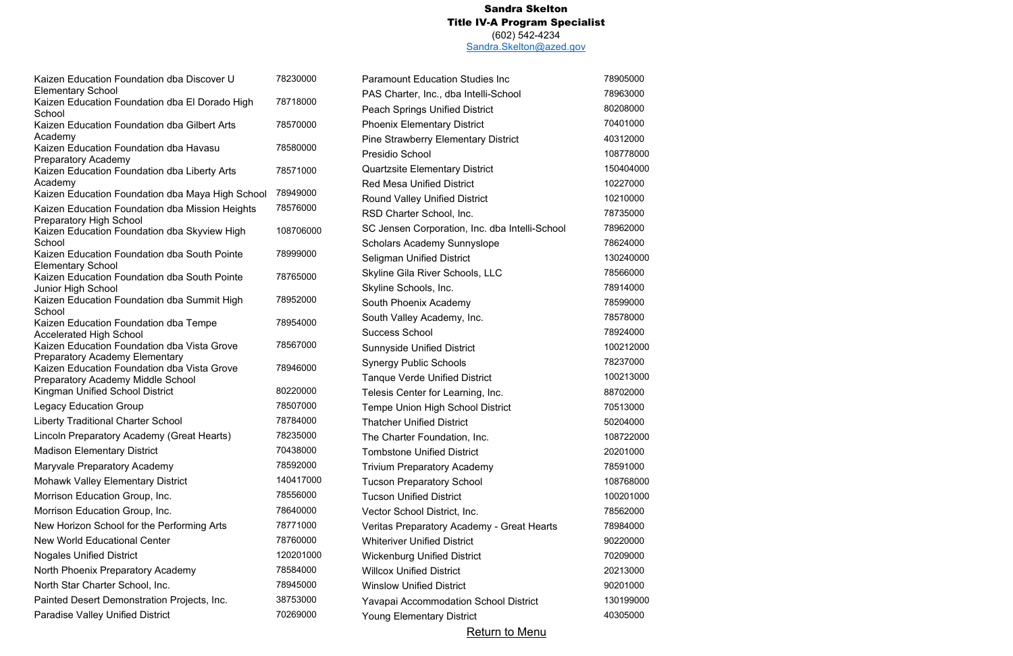#### Sandra Skelton Title IV-A Program Specialist

(602) 542-4234 Sandra.Skelton@azed.gov

| Kaizen Education Foundation dba Discover U                                         | 78230000  | <b>Paramount Education Studies Inc.</b>        |
|------------------------------------------------------------------------------------|-----------|------------------------------------------------|
| <b>Elementary School</b>                                                           |           | PAS Charter, Inc., dba Intelli-School          |
| Kaizen Education Foundation dba El Dorado High<br>School                           | 78718000  | <b>Peach Springs Unified District</b>          |
| Kaizen Education Foundation dba Gilbert Arts                                       | 78570000  | <b>Phoenix Elementary District</b>             |
| Academy                                                                            |           | <b>Pine Strawberry Elementary District</b>     |
| Kaizen Education Foundation dba Havasu                                             | 78580000  | <b>Presidio School</b>                         |
| <b>Preparatory Academy</b>                                                         | 78571000  | <b>Quartzsite Elementary District</b>          |
| Kaizen Education Foundation dba Liberty Arts<br>Academy                            |           | <b>Red Mesa Unified District</b>               |
| Kaizen Education Foundation dba Maya High School                                   | 78949000  | <b>Round Valley Unified District</b>           |
| Kaizen Education Foundation dba Mission Heights                                    | 78576000  |                                                |
| <b>Preparatory High School</b>                                                     |           | RSD Charter School, Inc.                       |
| Kaizen Education Foundation dba Skyview High                                       | 108706000 | SC Jensen Corporation, Inc. dba Intelli-School |
| School<br>Kaizen Education Foundation dba South Pointe                             | 78999000  | <b>Scholars Academy Sunnyslope</b>             |
| <b>Elementary School</b>                                                           |           | <b>Seligman Unified District</b>               |
| Kaizen Education Foundation dba South Pointe                                       | 78765000  | Skyline Gila River Schools, LLC                |
| Junior High School                                                                 |           | Skyline Schools, Inc.                          |
| Kaizen Education Foundation dba Summit High                                        | 78952000  | South Phoenix Academy                          |
| School<br>Kaizen Education Foundation dba Tempe                                    | 78954000  | South Valley Academy, Inc.                     |
| <b>Accelerated High School</b>                                                     |           | <b>Success School</b>                          |
| Kaizen Education Foundation dba Vista Grove                                        | 78567000  | <b>Sunnyside Unified District</b>              |
| <b>Preparatory Academy Elementary</b>                                              |           | <b>Synergy Public Schools</b>                  |
| Kaizen Education Foundation dba Vista Grove                                        | 78946000  | <b>Tanque Verde Unified District</b>           |
| <b>Preparatory Academy Middle School</b><br><b>Kingman Unified School District</b> | 80220000  | Telesis Center for Learning, Inc.              |
| <b>Legacy Education Group</b>                                                      | 78507000  | <b>Tempe Union High School District</b>        |
| <b>Liberty Traditional Charter School</b>                                          | 78784000  | <b>Thatcher Unified District</b>               |
| Lincoln Preparatory Academy (Great Hearts)                                         | 78235000  | The Charter Foundation, Inc.                   |
| <b>Madison Elementary District</b>                                                 | 70438000  | <b>Tombstone Unified District</b>              |
| Maryvale Preparatory Academy                                                       | 78592000  |                                                |
| <b>Mohawk Valley Elementary District</b>                                           | 140417000 | <b>Trivium Preparatory Academy</b>             |
|                                                                                    |           | <b>Tucson Preparatory School</b>               |
| Morrison Education Group, Inc.                                                     | 78556000  | <b>Tucson Unified District</b>                 |
| Morrison Education Group, Inc.                                                     | 78640000  | Vector School District, Inc.                   |
| New Horizon School for the Performing Arts                                         | 78771000  | Veritas Preparatory Academy - Great Hearts     |
| <b>New World Educational Center</b>                                                | 78760000  | <b>Whiteriver Unified District</b>             |
| <b>Nogales Unified District</b>                                                    | 120201000 | <b>Wickenburg Unified District</b>             |
| North Phoenix Preparatory Academy                                                  | 78584000  | <b>Willcox Unified District</b>                |
| North Star Charter School, Inc.                                                    | 78945000  | <b>Winslow Unified District</b>                |
| Painted Desert Demonstration Projects, Inc.                                        | 38753000  | <b>Yavapai Accommodation School District</b>   |
| <b>Paradise Valley Unified District</b>                                            | 70269000  | <b>Young Elementary District</b>               |
|                                                                                    |           |                                                |

#### **[Return to Menu](#page-0-0)**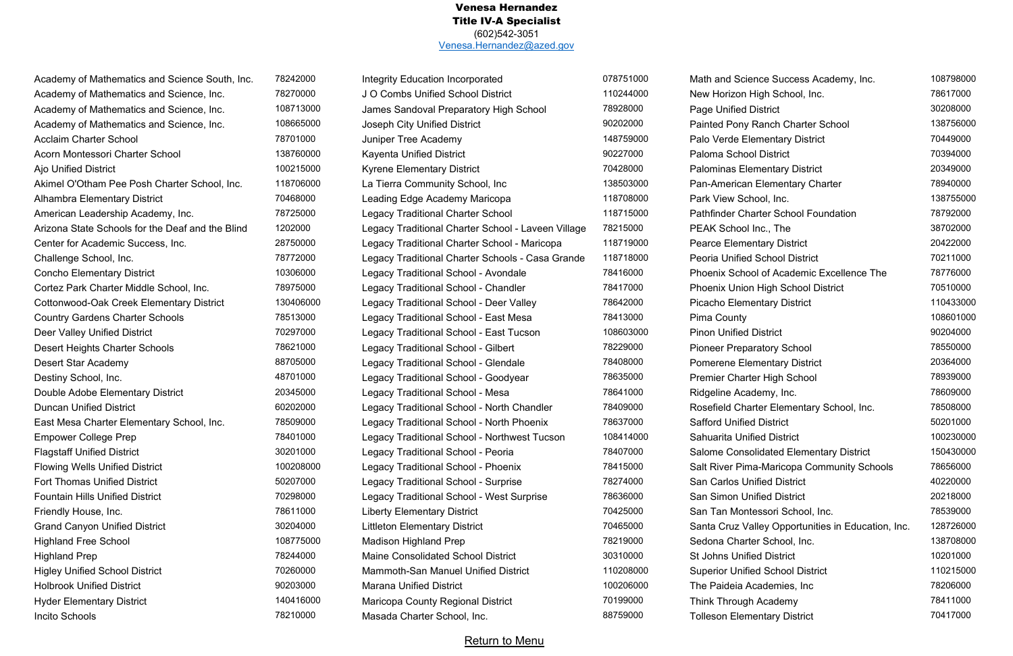#### Venesa Hernandez Title IV-A Specialist (602)542-3051 Venesa.Hernandez@azed.gov

<span id="page-6-0"></span>

| Academy of Mathematics and Science South, Inc.   | 78242000  | Integrity Education Incorporated                   | 078751000 | Math and            |
|--------------------------------------------------|-----------|----------------------------------------------------|-----------|---------------------|
| Academy of Mathematics and Science, Inc.         | 78270000  | J O Combs Unified School District                  | 110244000 | New Hori:           |
| Academy of Mathematics and Science, Inc.         | 108713000 | James Sandoval Preparatory High School             | 78928000  | Page Unit           |
| Academy of Mathematics and Science, Inc.         | 108665000 | Joseph City Unified District                       | 90202000  | <b>Painted P</b>    |
| <b>Acclaim Charter School</b>                    | 78701000  | Juniper Tree Academy                               | 148759000 | Palo Verd           |
| Acorn Montessori Charter School                  | 138760000 | <b>Kayenta Unified District</b>                    | 90227000  | Paloma <sub>S</sub> |
| <b>Ajo Unified District</b>                      | 100215000 | <b>Kyrene Elementary District</b>                  | 70428000  | Palomina            |
| Akimel O'Otham Pee Posh Charter School, Inc.     | 118706000 | La Tierra Community School, Inc                    | 138503000 | Pan-Ame             |
| <b>Alhambra Elementary District</b>              | 70468000  | Leading Edge Academy Maricopa                      | 118708000 | <b>Park View</b>    |
| American Leadership Academy, Inc.                | 78725000  | <b>Legacy Traditional Charter School</b>           | 118715000 | Pathfinde           |
| Arizona State Schools for the Deaf and the Blind | 1202000   | Legacy Traditional Charter School - Laveen Village | 78215000  | <b>PEAK Scl</b>     |
| Center for Academic Success, Inc.                | 28750000  | Legacy Traditional Charter School - Maricopa       | 118719000 | Pearce El           |
| Challenge School, Inc.                           | 78772000  | Legacy Traditional Charter Schools - Casa Grande   | 118718000 | Peoria Ur           |
| <b>Concho Elementary District</b>                | 10306000  | Legacy Traditional School - Avondale               | 78416000  | <b>Phoenix S</b>    |
| Cortez Park Charter Middle School, Inc.          | 78975000  | Legacy Traditional School - Chandler               | 78417000  | Phoenix L           |
| <b>Cottonwood-Oak Creek Elementary District</b>  | 130406000 | Legacy Traditional School - Deer Valley            | 78642000  | Picacho E           |
| <b>Country Gardens Charter Schools</b>           | 78513000  | Legacy Traditional School - East Mesa              | 78413000  | Pima Cou            |
| Deer Valley Unified District                     | 70297000  | Legacy Traditional School - East Tucson            | 108603000 | Pinon Uni           |
| <b>Desert Heights Charter Schools</b>            | 78621000  | Legacy Traditional School - Gilbert                | 78229000  | <b>Pioneer P</b>    |
| <b>Desert Star Academy</b>                       | 88705000  | Legacy Traditional School - Glendale               | 78408000  | Pomerene            |
| Destiny School, Inc.                             | 48701000  | Legacy Traditional School - Goodyear               | 78635000  | <b>Premier C</b>    |
| Double Adobe Elementary District                 | 20345000  | Legacy Traditional School - Mesa                   | 78641000  | Ridgeline           |
| <b>Duncan Unified District</b>                   | 60202000  | Legacy Traditional School - North Chandler         | 78409000  | Rosefield           |
| East Mesa Charter Elementary School, Inc.        | 78509000  | Legacy Traditional School - North Phoenix          | 78637000  | Safford U           |
| <b>Empower College Prep</b>                      | 78401000  | Legacy Traditional School - Northwest Tucson       | 108414000 | Sahuarita           |
| <b>Flagstaff Unified District</b>                | 30201000  | Legacy Traditional School - Peoria                 | 78407000  | Salome C            |
| <b>Flowing Wells Unified District</b>            | 100208000 | Legacy Traditional School - Phoenix                | 78415000  | <b>Salt River</b>   |
| <b>Fort Thomas Unified District</b>              | 50207000  | <b>Legacy Traditional School - Surprise</b>        | 78274000  | San Carlo           |
| <b>Fountain Hills Unified District</b>           | 70298000  | Legacy Traditional School - West Surprise          | 78636000  | San Simo            |
| Friendly House, Inc.                             | 78611000  | <b>Liberty Elementary District</b>                 | 70425000  | San Tan I           |
| <b>Grand Canyon Unified District</b>             | 30204000  | <b>Littleton Elementary District</b>               | 70465000  | Santa Cru           |
| <b>Highland Free School</b>                      | 108775000 | <b>Madison Highland Prep</b>                       | 78219000  | Sedona C            |
| <b>Highland Prep</b>                             | 78244000  | <b>Maine Consolidated School District</b>          | 30310000  | St Johns            |
| <b>Higley Unified School District</b>            | 70260000  | <b>Mammoth-San Manuel Unified District</b>         | 110208000 | Superior I          |
| <b>Holbrook Unified District</b>                 | 90203000  | <b>Marana Unified District</b>                     | 100206000 | <b>The Paide</b>    |
| <b>Hyder Elementary District</b>                 | 140416000 | <b>Maricopa County Regional District</b>           | 70199000  | <b>Think Thr</b>    |
| Incito Schools                                   | 78210000  | Masada Charter School, Inc.                        | 88759000  | Tolleson I          |

#### [Return to Menu](#page-0-0)

Science Success Academy, Inc. 108798000 zon High School, Inc. **78617000** Page United District 30208000 Pony Ranch Charter School 138756000 de Elementary District **1986** and 10449000 Paloma School District **Access 100 and 2012** 70394000 exteed as Elementary District 20349000 rican Elementary Charter **78940000** v School, Inc. 2008 2009 2010 2020 2030 2040 2050 2060 2071 2080 2090 2091 2092 20 Pather School Foundation 78792000 Peak School Inc., The 38702000 Pearce Elementary District 20422000 Perified School District **Properties 1000** and 70211000 School of Academic Excellence The 78776000 Union High School District 70510000 **Philosopherical Elementary District 110433000** anty 108601000 and 108601000 and 108601000 and 108601000 and 108601000 and 108601 Pinon United District **Prince 100204000** Preparatory School 78550000 e Elementary District 20364000 Premier High School 78939000 Ridgeline Academy, Inc. 78609000 Charter Elementary School, Inc. 78508000 Inified District 60201000 Unified District 100230000 Consolidated Elementary District 150430000 Pima-Maricopa Community Schools 78656000 San Unified District **100220000** on Unified District 20218000 Montessori School, Inc. 78539000 uz Valley Opportunities in Education, Inc. 128726000 Charter School, Inc. 138708000 Unified District 10201000 Unified School District 110215000 eia Academies, Inc 78206000 The Through Academy Through Academy 78411000 Elementary District 70417000